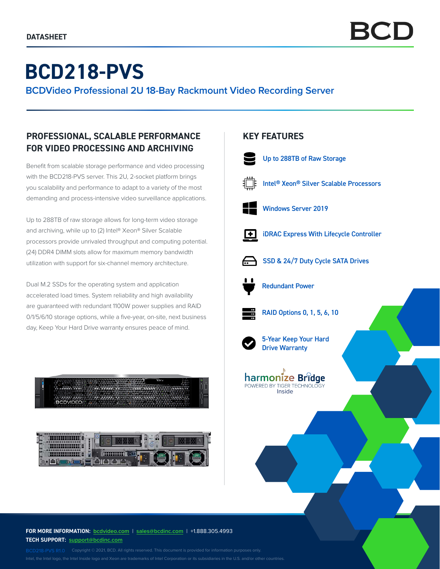# **BCD218-PVS**

**BCDVideo Professional 2U 18-Bay Rackmount Video Recording Server**

# **PROFESSIONAL, SCALABLE PERFORMANCE FOR VIDEO PROCESSING AND ARCHIVING**

Benefit from scalable storage performance and video processing with the BCD218-PVS server. This 2U, 2-socket platform brings you scalability and performance to adapt to a variety of the most demanding and process-intensive video surveillance applications.

Up to 288TB of raw storage allows for long-term video storage and archiving, while up to (2) Intel® Xeon® Silver Scalable processors provide unrivaled throughput and computing potential. (24) DDR4 DIMM slots allow for maximum memory bandwidth utilization with support for six-channel memory architecture.

Dual M.2 SSDs for the operating system and application accelerated load times. System reliability and high availability are guaranteed with redundant 1100W power supplies and RAID 0/1/5/6/10 storage options, while a five-year, on-site, next business day, Keep Your Hard Drive warranty ensures peace of mind.



**SIP SIP SIP** 

# **KEY FEATURES**



Intel® Xeon® Silver Scalable Processors



iDRAC Express With Lifecycle Controller



SSD & 24/7 Duty Cycle SATA Drives



Redundant Power



RAID Options 0, 1, 5, 6, 10



5-Year Keep Your Hard Drive Warranty



**FOR MORE INFORMATION: bcdvideo.com** | **[sales@bcdinc.com](mailto:sales%40bcdinc.com?subject=)** | +1.888.305.4993 **TECH SUPPORT: [support@bcdinc.com](mailto:support%40bcdinc.com?subject=)**

Intel, the Intel logo, the Intel Inside logo and Xeon are trademarks of Intel Corporation or its subsidiaries in the U.S. and/or other countries.